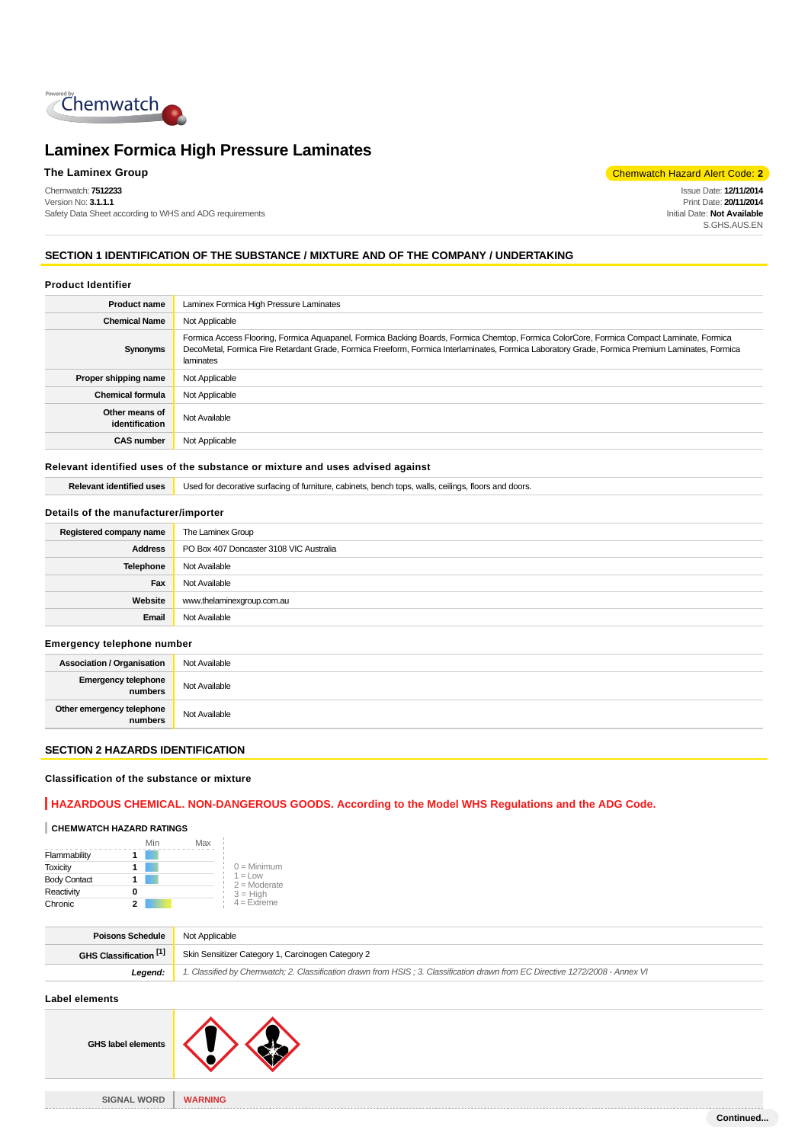

Chemwatch: **7512233** Version No: **3.1.1.1** Safety Data Sheet according to WHS and ADG requirements

**The Laminex Group** Chemwatch Hazard Alert Code: **2** 

Issue Date: **12/11/2014** Print Date: **20/11/2014** Initial Date: **Not Available** S.GHS.AUS.EN

# **SECTION 1 IDENTIFICATION OF THE SUBSTANCE / MIXTURE AND OF THE COMPANY / UNDERTAKING**

#### **Product Identifier**

| <b>Product name</b>              | Laminex Formica High Pressure Laminates                                                                                                                                                                                                                                                                   |  |
|----------------------------------|-----------------------------------------------------------------------------------------------------------------------------------------------------------------------------------------------------------------------------------------------------------------------------------------------------------|--|
| <b>Chemical Name</b>             | Not Applicable                                                                                                                                                                                                                                                                                            |  |
| Synonyms                         | Formica Access Flooring, Formica Aquapanel, Formica Backing Boards, Formica Chemtop, Formica ColorCore, Formica Compact Laminate, Formica<br>DecoMetal, Formica Fire Retardant Grade, Formica Freeform, Formica Interlaminates, Formica Laboratory Grade, Formica Premium Laminates, Formica<br>laminates |  |
| Proper shipping name             | Not Applicable                                                                                                                                                                                                                                                                                            |  |
| <b>Chemical formula</b>          | Not Applicable                                                                                                                                                                                                                                                                                            |  |
| Other means of<br>identification | Not Available                                                                                                                                                                                                                                                                                             |  |
| <b>CAS number</b>                | Not Applicable                                                                                                                                                                                                                                                                                            |  |

# **Relevant identified uses of the substance or mixture and uses advised against**

| itified uses | Jsed<br>turniture.<br>walls<br>tops<br>. ceilinas<br>abinets.<br>rioors and doors<br>11 I.C<br>umac<br>:ın<br>. |
|--------------|-----------------------------------------------------------------------------------------------------------------|
|              |                                                                                                                 |

# **Details of the manufacturer/importer**

| Registered company name | The Laminex Group                       |
|-------------------------|-----------------------------------------|
| <b>Address</b>          | PO Box 407 Doncaster 3108 VIC Australia |
| Telephone               | Not Available                           |
| Fax                     | Not Available                           |
| Website                 | www.thelaminexgroup.com.au              |
| Email                   | Not Available                           |

#### **Emergency telephone number**

| <b>Association / Organisation</b>    | Not Available |
|--------------------------------------|---------------|
| Emergency telephone<br>numbers       | Not Available |
| Other emergency telephone<br>numbers | Not Available |

# **SECTION 2 HAZARDS IDENTIFICATION**

# **Classification of the substance or mixture**

# **HAZARDOUS CHEMICAL. NON-DANGEROUS GOODS. According to the Model WHS Regulations and the ADG Code.**

 $\bm{\lambda}$ 

# **CHEMWATCH HAZARD RATINGS**

|                     | Min | Max |                              |
|---------------------|-----|-----|------------------------------|
| Flammability        |     |     |                              |
| <b>Toxicity</b>     |     |     | $0 =$ Minimum                |
| <b>Body Contact</b> |     |     | $1 = 1$ OW<br>$2 =$ Moderate |
| Reactivity          | 0   |     | $3 = High$                   |
| Chronic             |     |     | $4 =$ Extreme                |

| <b>Poisons Schedule</b> | Not Applicable                                                                                                                |  |
|-------------------------|-------------------------------------------------------------------------------------------------------------------------------|--|
| GHS Classification [1]  | Skin Sensitizer Category 1, Carcinogen Category 2                                                                             |  |
| Leaend:                 | 1. Classified by Chemwatch: 2. Classification drawn from HSIS: 3. Classification drawn from EC Directive 1272/2008 - Annex VI |  |

# **Label elements**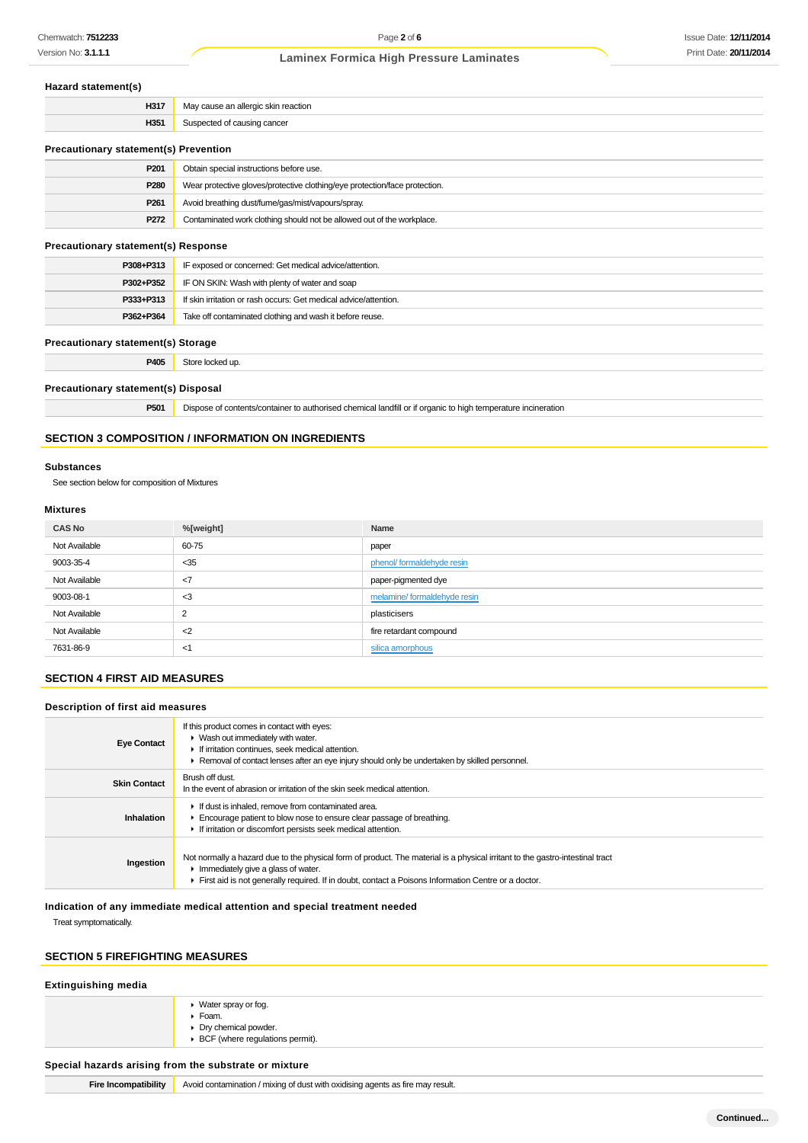#### **Hazard statement(s)**

| H <sub>317</sub>                          | May cause an allergic skin reaction |
|-------------------------------------------|-------------------------------------|
| H351                                      | Suspected of causing cancer         |
| Becompleted and atotemplottal Becompleted |                                     |

| Precautionary statement(s) Prevention |                                                                            |
|---------------------------------------|----------------------------------------------------------------------------|
| P201                                  | Obtain special instructions before use.                                    |
| P280                                  | Wear protective gloves/protective clothing/eye protection/face protection. |
| P <sub>261</sub>                      | Avoid breathing dust/fume/gas/mist/vapours/spray.                          |
| P272                                  | Contaminated work clothing should not be allowed out of the workplace.     |

# **Precautionary statement(s) Response**

| P308+P313 | IF exposed or concerned: Get medical advice/attention.           |  |
|-----------|------------------------------------------------------------------|--|
| P302+P352 | IF ON SKIN: Wash with plenty of water and soap                   |  |
| P333+P313 | If skin irritation or rash occurs: Get medical advice/attention. |  |
| P362+P364 | Take off contaminated clothing and wash it before reuse.         |  |

# **Precautionary statement(s) Storage**

**P405** Store locked up.

#### **Precautionary statement(s) Disposal**

**P501** Dispose of contents/container to authorised chemical landfill or if organic to high temperature incineration

# **SECTION 3 COMPOSITION / INFORMATION ON INGREDIENTS**

#### **Substances**

See section below for composition of Mixtures

# **Mixtures**

| <b>CAS No</b> | %[weight]      | Name                        |
|---------------|----------------|-----------------------------|
| Not Available | 60-75          | paper                       |
| 9003-35-4     | $<$ 35         | phenol/formaldehyde resin   |
| Not Available | $<$ 7          | paper-pigmented dye         |
| 9003-08-1     | $3$            | melamine/formaldehyde resin |
| Not Available | $\overline{2}$ | plasticisers                |
| Not Available | $<$ 2          | fire retardant compound     |
| 7631-86-9     | <1             | silica amorphous            |

# **SECTION 4 FIRST AID MEASURES**

# **Description of first aid measures**

| <b>Eye Contact</b>  | If this product comes in contact with eyes:<br>▶ Wash out immediately with water.<br>If irritation continues, seek medical attention.<br>► Removal of contact lenses after an eye injury should only be undertaken by skilled personnel.                                   |  |  |
|---------------------|----------------------------------------------------------------------------------------------------------------------------------------------------------------------------------------------------------------------------------------------------------------------------|--|--|
| <b>Skin Contact</b> | Brush off dust.<br>In the event of abrasion or irritation of the skin seek medical attention.                                                                                                                                                                              |  |  |
| Inhalation          | If dust is inhaled, remove from contaminated area.<br>Encourage patient to blow nose to ensure clear passage of breathing.<br>If irritation or discomfort persists seek medical attention.                                                                                 |  |  |
| Ingestion           | Not normally a hazard due to the physical form of product. The material is a physical irritant to the gastro-intestinal tract<br>Immediately give a glass of water.<br>First aid is not generally required. If in doubt, contact a Poisons Information Centre or a doctor. |  |  |

**Indication of any immediate medical attention and special treatment needed**

Treat symptomatically.

# **SECTION 5 FIREFIGHTING MEASURES**

| ▶ Water spray or fog.                            |  |
|--------------------------------------------------|--|
| $\blacktriangleright$ Foam.                      |  |
| • Dry chemical powder.                           |  |
| $\triangleright$ BCF (where regulations permit). |  |

**Fire Incompatibility** Avoid contamination / mixing of dust with oxidising agents as fire may result.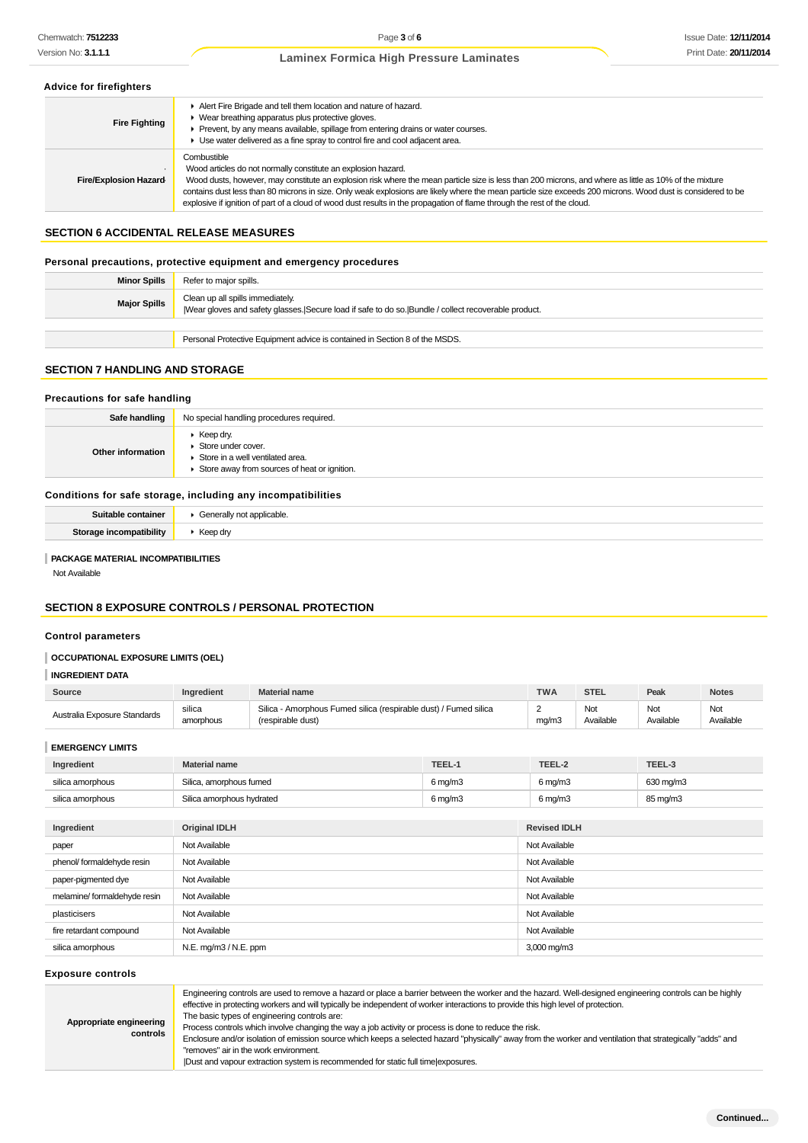#### **Advice for firefighters**

| <b>Fire Fighting</b>   | Alert Fire Brigade and tell them location and nature of hazard.<br>• Wear breathing apparatus plus protective gloves.<br>Prevent, by any means available, spillage from entering drains or water courses.<br>• Use water delivered as a fine spray to control fire and cool adjacent area.                                                                                                                                                                                                                                        |
|------------------------|-----------------------------------------------------------------------------------------------------------------------------------------------------------------------------------------------------------------------------------------------------------------------------------------------------------------------------------------------------------------------------------------------------------------------------------------------------------------------------------------------------------------------------------|
| Fire/Explosion Hazard- | Combustible<br>Wood articles do not normally constitute an explosion hazard.<br>Wood dusts, however, may constitute an explosion risk where the mean particle size is less than 200 microns, and where as little as 10% of the mixture<br>contains dust less than 80 microns in size. Only weak explosions are likely where the mean particle size exceeds 200 microns. Wood dust is considered to be<br>explosive if ignition of part of a cloud of wood dust results in the propagation of flame through the rest of the cloud. |

# **SECTION 6 ACCIDENTAL RELEASE MEASURES**

#### **Personal precautions, protective equipment and emergency procedures**

| <b>Minor Spills</b> | Refer to major spills.                                                                                                                  |
|---------------------|-----------------------------------------------------------------------------------------------------------------------------------------|
| <b>Major Spills</b> | Clean up all spills immediately.<br>Wear gloves and safety glasses. Secure load if safe to do so. Bundle / collect recoverable product. |
|                     |                                                                                                                                         |
|                     | Personal Protective Equipment advice is contained in Section 8 of the MSDS.                                                             |

### **SECTION 7 HANDLING AND STORAGE**

#### **Precautions for safe handling**

| Safe handling      | No special handling procedures required.                                                                                                                        |
|--------------------|-----------------------------------------------------------------------------------------------------------------------------------------------------------------|
| Other information  | $\blacktriangleright$ Keep dry.<br>$\blacktriangleright$ Store under cover.<br>Store in a well ventilated area.<br>Store away from sources of heat or ignition. |
|                    | Conditions for safe storage, including any incompatibilities                                                                                                    |
| Suitable container | Conorally not annicable                                                                                                                                         |

| Suitable container          | able.    |
|-----------------------------|----------|
| atihilitv<br>Stor-<br>ncomn | Keep dry |
|                             |          |

#### **PACKAGE MATERIAL INCOMPATIBILITIES**

Not Available

# **SECTION 8 EXPOSURE CONTROLS / PERSONAL PROTECTION**

#### **Control parameters**

# **OCCUPATIONAL EXPOSURE LIMITS (OEL)**

# **INGREDIENT DATA**

| Source                       | Ingredient           | <b>Material name</b>                                                                  |        | <b>TWA</b> | <b>STEL</b>      | Peak             | <b>Notes</b>     |
|------------------------------|----------------------|---------------------------------------------------------------------------------------|--------|------------|------------------|------------------|------------------|
| Australia Exposure Standards | silica<br>amorphous  | Silica - Amorphous Fumed silica (respirable dust) / Fumed silica<br>(respirable dust) |        | 2<br>mq/m3 | Not<br>Available | Not<br>Available | Not<br>Available |
| <b>EMERGENCY LIMITS</b>      |                      |                                                                                       |        |            |                  |                  |                  |
| Ingredient                   | <b>Material name</b> |                                                                                       | TEEL-1 | TEEL-2     |                  | TEEL-3           |                  |

| Ingredient       | Material name             | TEEL-1                | TEEL-2              | TEEL-3    |
|------------------|---------------------------|-----------------------|---------------------|-----------|
| silica amorphous | Silica, amorphous fumed   | $6 \,\mathrm{mq/m}$ 3 | $6 \,\mathrm{mq/m}$ | 630 mg/m3 |
| silica amorphous | Silica amorphous hydrated | $6 \,\mathrm{mq/m}$   | $6 \,\mathrm{mg/m}$ | 85 mg/m3  |
|                  |                           |                       |                     |           |

| Ingredient                  | <b>Original IDLH</b>  | <b>Revised IDLH</b> |
|-----------------------------|-----------------------|---------------------|
| paper                       | Not Available         | Not Available       |
| phenol/ formaldehyde resin  | Not Available         | Not Available       |
| paper-pigmented dye         | Not Available         | Not Available       |
| melamine/formaldehyde resin | Not Available         | Not Available       |
| plasticisers                | Not Available         | Not Available       |
| fire retardant compound     | Not Available         | Not Available       |
| silica amorphous            | N.E. mg/m3 / N.E. ppm | 3,000 mg/m3         |

**Exposure controls**

**Appropriate engineering**

**controls**

Engineering controls are used to remove a hazard or place a barrier between the worker and the hazard. Well-designed engineering controls can be highly effective in protecting workers and will typically be independent of worker interactions to provide this high level of protection.

The basic types of engineering controls are:

Process controls which involve changing the way a job activity or process is done to reduce the risk.

Enclosure and/or isolation of emission source which keeps a selected hazard "physically" away from the worker and ventilation that strategically "adds" and "removes" air in the work environment.

|Dust and vapour extraction system is recommended for static full time|exposures.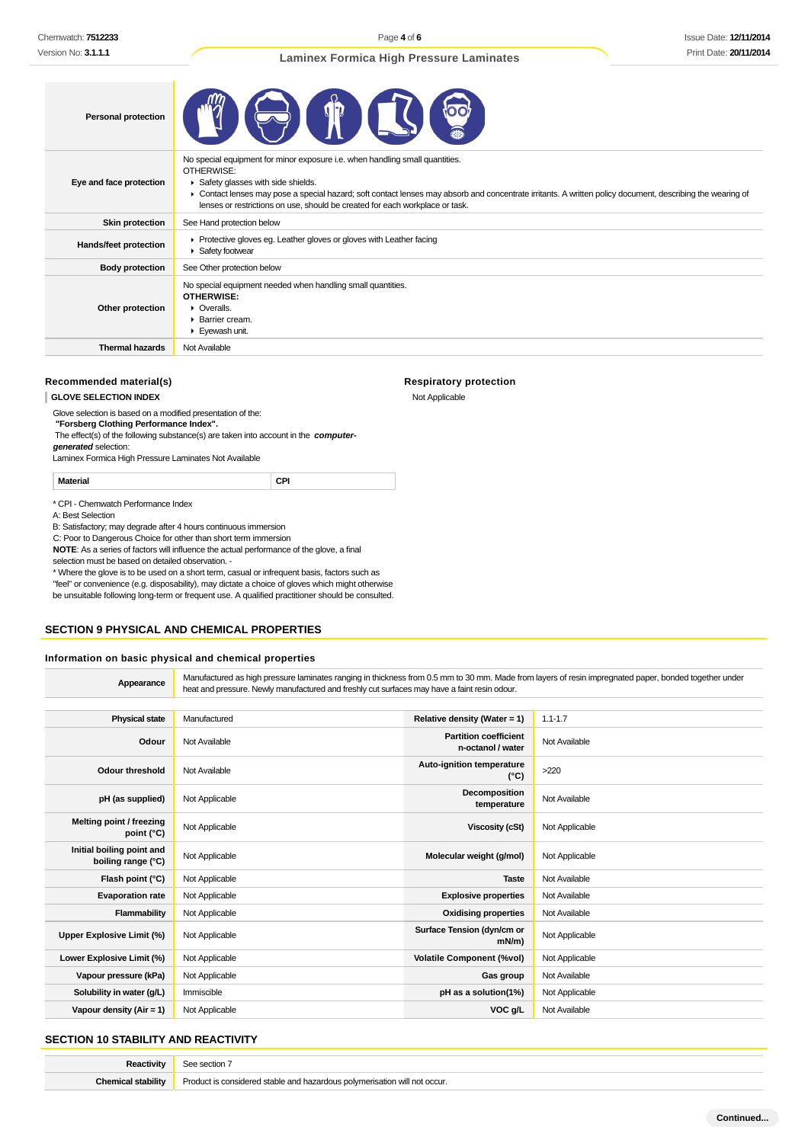Page **4** of **6**

|  |  | <b>Laminex Formica High Pressure Laminates</b> |
|--|--|------------------------------------------------|
|  |  |                                                |

| <b>Personal protection</b>   |                                                                                                                                                                                                                                                                                                                                                                               |
|------------------------------|-------------------------------------------------------------------------------------------------------------------------------------------------------------------------------------------------------------------------------------------------------------------------------------------------------------------------------------------------------------------------------|
| Eye and face protection      | No special equipment for minor exposure i.e. when handling small quantities.<br>OTHERWISE:<br>Safety glasses with side shields.<br>▶ Contact lenses may pose a special hazard; soft contact lenses may absorb and concentrate irritants. A written policy document, describing the wearing of<br>lenses or restrictions on use, should be created for each workplace or task. |
| Skin protection              | See Hand protection below                                                                                                                                                                                                                                                                                                                                                     |
| <b>Hands/feet protection</b> | ▶ Protective gloves eg. Leather gloves or gloves with Leather facing<br>Safety footwear                                                                                                                                                                                                                                                                                       |
| <b>Body protection</b>       | See Other protection below                                                                                                                                                                                                                                                                                                                                                    |
| Other protection             | No special equipment needed when handling small quantities.<br><b>OTHERWISE:</b><br>• Overalls.<br>▶ Barrier cream.<br>Eyewash unit.                                                                                                                                                                                                                                          |
| <b>Thermal hazards</b>       | Not Available                                                                                                                                                                                                                                                                                                                                                                 |

#### **Recommended material(s)**

# **SECTION 9 PHYSICAL AND CHEMICAL PROPERTIES**

# **Information on basic physical and chemical properties**

| Chemwatch: <b>7512233</b>                                                                                                                                                                                                                                                                                                                                              |                                                                         |                                                                                                                                                                                                                                                                                                                                                                 | Page 4 of 6                                                                                                                                           |                | Issue Date: 12/11/20 |  |
|------------------------------------------------------------------------------------------------------------------------------------------------------------------------------------------------------------------------------------------------------------------------------------------------------------------------------------------------------------------------|-------------------------------------------------------------------------|-----------------------------------------------------------------------------------------------------------------------------------------------------------------------------------------------------------------------------------------------------------------------------------------------------------------------------------------------------------------|-------------------------------------------------------------------------------------------------------------------------------------------------------|----------------|----------------------|--|
| Version No: <b>3.1.1.1</b>                                                                                                                                                                                                                                                                                                                                             |                                                                         |                                                                                                                                                                                                                                                                                                                                                                 | <b>Laminex Formica High Pressure Laminates</b>                                                                                                        |                | Print Date: 20/11/20 |  |
| <b>Personal protection</b>                                                                                                                                                                                                                                                                                                                                             |                                                                         |                                                                                                                                                                                                                                                                                                                                                                 |                                                                                                                                                       |                |                      |  |
| Eye and face protection                                                                                                                                                                                                                                                                                                                                                | OTHERWISE:                                                              | No special equipment for minor exposure i.e. when handling small quantities.<br>Safety glasses with side shields.<br>• Contact lenses may pose a special hazard; soft contact lenses may absorb and concentrate irritants. A written policy document, describing the wearing of<br>lenses or restrictions on use, should be created for each workplace or task. |                                                                                                                                                       |                |                      |  |
| <b>Skin protection</b>                                                                                                                                                                                                                                                                                                                                                 | See Hand protection below                                               |                                                                                                                                                                                                                                                                                                                                                                 |                                                                                                                                                       |                |                      |  |
| <b>Hands/feet protection</b>                                                                                                                                                                                                                                                                                                                                           | ▶ Safety footwear                                                       | Protective gloves eg. Leather gloves or gloves with Leather facing                                                                                                                                                                                                                                                                                              |                                                                                                                                                       |                |                      |  |
| <b>Body protection</b>                                                                                                                                                                                                                                                                                                                                                 | See Other protection below                                              |                                                                                                                                                                                                                                                                                                                                                                 |                                                                                                                                                       |                |                      |  |
| Other protection                                                                                                                                                                                                                                                                                                                                                       | <b>OTHERWISE:</b><br>• Overalls.<br>▶ Barrier cream.<br>▶ Eyewash unit. | No special equipment needed when handling small quantities.                                                                                                                                                                                                                                                                                                     |                                                                                                                                                       |                |                      |  |
| <b>Thermal hazards</b>                                                                                                                                                                                                                                                                                                                                                 | Not Available                                                           |                                                                                                                                                                                                                                                                                                                                                                 |                                                                                                                                                       |                |                      |  |
|                                                                                                                                                                                                                                                                                                                                                                        |                                                                         |                                                                                                                                                                                                                                                                                                                                                                 |                                                                                                                                                       |                |                      |  |
| Recommended material(s)                                                                                                                                                                                                                                                                                                                                                |                                                                         |                                                                                                                                                                                                                                                                                                                                                                 | <b>Respiratory protection</b>                                                                                                                         |                |                      |  |
| <b>GLOVE SELECTION INDEX</b>                                                                                                                                                                                                                                                                                                                                           |                                                                         |                                                                                                                                                                                                                                                                                                                                                                 | Not Applicable                                                                                                                                        |                |                      |  |
| Glove selection is based on a modified presentation of the:<br>"Forsberg Clothing Performance Index".<br>The effect(s) of the following substance(s) are taken into account in the computer-<br>generated selection:<br>Laminex Formica High Pressure Laminates Not Available                                                                                          |                                                                         |                                                                                                                                                                                                                                                                                                                                                                 |                                                                                                                                                       |                |                      |  |
| <b>Material</b>                                                                                                                                                                                                                                                                                                                                                        |                                                                         | CPI                                                                                                                                                                                                                                                                                                                                                             |                                                                                                                                                       |                |                      |  |
| C: Poor to Dangerous Choice for other than short term immersion<br>NOTE: As a series of factors will influence the actual performance of the glove, a final<br>selection must be based on detailed observation. -<br>* Where the glove is to be used on a short term, casual or infrequent basis, factors such as<br><b>SECTION 9 PHYSICAL AND CHEMICAL PROPERTIES</b> |                                                                         | "feel" or convenience (e.g. disposability), may dictate a choice of gloves which might otherwise<br>be unsuitable following long-term or frequent use. A qualified practitioner should be consulted.                                                                                                                                                            |                                                                                                                                                       |                |                      |  |
| Information on basic physical and chemical properties                                                                                                                                                                                                                                                                                                                  |                                                                         |                                                                                                                                                                                                                                                                                                                                                                 |                                                                                                                                                       |                |                      |  |
| Appearance                                                                                                                                                                                                                                                                                                                                                             |                                                                         | heat and pressure. Newly manufactured and freshly cut surfaces may have a faint resin odour.                                                                                                                                                                                                                                                                    | Manufactured as high pressure laminates ranging in thickness from 0.5 mm to 30 mm. Made from layers of resin impregnated paper, bonded together under |                |                      |  |
|                                                                                                                                                                                                                                                                                                                                                                        | Manufactured                                                            |                                                                                                                                                                                                                                                                                                                                                                 |                                                                                                                                                       | $1.1 - 1.7$    |                      |  |
| <b>Physical state</b>                                                                                                                                                                                                                                                                                                                                                  |                                                                         |                                                                                                                                                                                                                                                                                                                                                                 | Relative density (Water = 1)<br><b>Partition coefficient</b>                                                                                          |                |                      |  |
| Odour                                                                                                                                                                                                                                                                                                                                                                  | Not Available                                                           |                                                                                                                                                                                                                                                                                                                                                                 | n-octanol / water                                                                                                                                     | Not Available  |                      |  |
| Odour threshold                                                                                                                                                                                                                                                                                                                                                        | Not Available                                                           |                                                                                                                                                                                                                                                                                                                                                                 | Auto-ignition temperature<br>(°C)                                                                                                                     | >220           |                      |  |
| pH (as supplied)                                                                                                                                                                                                                                                                                                                                                       | Not Applicable                                                          |                                                                                                                                                                                                                                                                                                                                                                 | Decomposition<br>temperature                                                                                                                          | Not Available  |                      |  |
| Melting point / freezing<br>point (°C)                                                                                                                                                                                                                                                                                                                                 | Not Applicable                                                          |                                                                                                                                                                                                                                                                                                                                                                 | Viscosity (cSt)                                                                                                                                       | Not Applicable |                      |  |
| Initial boiling point and<br>boiling range (°C)                                                                                                                                                                                                                                                                                                                        | Not Applicable                                                          |                                                                                                                                                                                                                                                                                                                                                                 | Molecular weight (g/mol)                                                                                                                              | Not Applicable |                      |  |
| Flash point (°C)                                                                                                                                                                                                                                                                                                                                                       | Not Applicable                                                          |                                                                                                                                                                                                                                                                                                                                                                 | Taste                                                                                                                                                 | Not Available  |                      |  |
| <b>Evaporation rate</b>                                                                                                                                                                                                                                                                                                                                                | Not Applicable                                                          |                                                                                                                                                                                                                                                                                                                                                                 | <b>Explosive properties</b>                                                                                                                           | Not Available  |                      |  |
| <b>Flammability</b>                                                                                                                                                                                                                                                                                                                                                    | Not Applicable                                                          |                                                                                                                                                                                                                                                                                                                                                                 | <b>Oxidising properties</b>                                                                                                                           | Not Available  |                      |  |
| <b>Upper Explosive Limit (%)</b>                                                                                                                                                                                                                                                                                                                                       | Not Applicable                                                          |                                                                                                                                                                                                                                                                                                                                                                 | Surface Tension (dyn/cm or<br>$mN/m$ )                                                                                                                | Not Applicable |                      |  |
| Lower Explosive Limit (%)                                                                                                                                                                                                                                                                                                                                              | Not Applicable                                                          |                                                                                                                                                                                                                                                                                                                                                                 | <b>Volatile Component (%vol)</b>                                                                                                                      | Not Applicable |                      |  |
| Vapour pressure (kPa)                                                                                                                                                                                                                                                                                                                                                  | Not Applicable                                                          |                                                                                                                                                                                                                                                                                                                                                                 | Gas group                                                                                                                                             | Not Available  |                      |  |
| Solubility in water (g/L)                                                                                                                                                                                                                                                                                                                                              | Immiscible                                                              |                                                                                                                                                                                                                                                                                                                                                                 | pH as a solution(1%)                                                                                                                                  | Not Applicable |                      |  |
| Vapour density (Air = 1)                                                                                                                                                                                                                                                                                                                                               | Not Applicable                                                          |                                                                                                                                                                                                                                                                                                                                                                 | VOC g/L                                                                                                                                               | Not Available  |                      |  |
| <b>SECTION 10 STABILITY AND REACTIVITY</b>                                                                                                                                                                                                                                                                                                                             |                                                                         |                                                                                                                                                                                                                                                                                                                                                                 |                                                                                                                                                       |                |                      |  |
| Reactivity                                                                                                                                                                                                                                                                                                                                                             | See section 7                                                           |                                                                                                                                                                                                                                                                                                                                                                 |                                                                                                                                                       |                |                      |  |
| <b>Chemical stability</b>                                                                                                                                                                                                                                                                                                                                              |                                                                         | Product is considered stable and hazardous polymerisation will not occur.                                                                                                                                                                                                                                                                                       |                                                                                                                                                       |                |                      |  |

# **SECTION 10 STABILITY AND REACTIVITY**

**Reactivity** See section 7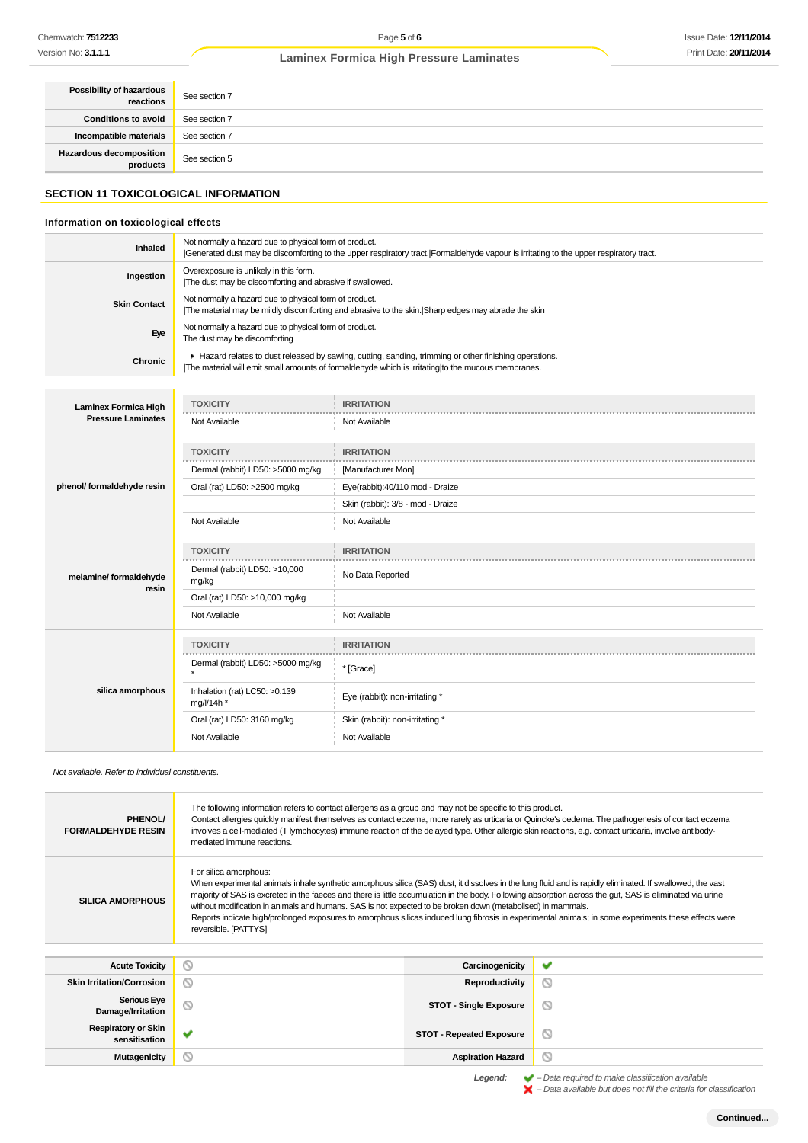# Issue Date: **12/11/2014** Print Date: **20/11/2014**

# **Laminex Formica High Pressure Laminates**

| Possibility of hazardous<br>reactions | See section 7 |
|---------------------------------------|---------------|
| <b>Conditions to avoid</b>            | See section 7 |
| Incompatible materials                | See section 7 |
| Hazardous decomposition<br>products   | See section 5 |

# **SECTION 11 TOXICOLOGICAL INFORMATION**

# **Information on toxicological effects**

| <b>Inhaled</b>      | Not normally a hazard due to physical form of product.<br>Generated dust may be discomforting to the upper respiratory tract. Formaldehyde vapour is irritating to the upper respiratory tract.             |
|---------------------|-------------------------------------------------------------------------------------------------------------------------------------------------------------------------------------------------------------|
| Ingestion           | Overexposure is unlikely in this form.<br>The dust may be discomforting and abrasive if swallowed.                                                                                                          |
| <b>Skin Contact</b> | Not normally a hazard due to physical form of product.<br>The material may be mildly discomforting and abrasive to the skin. Sharp edges may abrade the skin                                                |
| Eye                 | Not normally a hazard due to physical form of product.<br>The dust may be discomforting                                                                                                                     |
| Chronic             | ► Hazard relates to dust released by sawing, cutting, sanding, trimming or other finishing operations.<br>The material will emit small amounts of formaldehyde which is irritating to the mucous membranes. |

| <b>Laminex Formica High</b> | <b>TOXICITY</b>                             | <b>IRRITATION</b>                 |
|-----------------------------|---------------------------------------------|-----------------------------------|
| <b>Pressure Laminates</b>   | Not Available                               | Not Available                     |
|                             | <b>TOXICITY</b>                             | <b>IRRITATION</b>                 |
|                             | Dermal (rabbit) LD50: >5000 mg/kg           | [Manufacturer Mon]                |
| phenol/ formaldehyde resin  | Oral (rat) LD50: >2500 mg/kg                | Eye(rabbit):40/110 mod - Draize   |
|                             |                                             | Skin (rabbit): 3/8 - mod - Draize |
|                             | Not Available                               | Not Available                     |
|                             | <b>TOXICITY</b>                             | <b>IRRITATION</b>                 |
| melamine/ formaldehyde      | .<br>Dermal (rabbit) LD50: >10,000<br>mg/kg | No Data Reported                  |
| resin                       | Oral (rat) LD50: >10,000 mg/kg              |                                   |
|                             | Not Available                               | Not Available                     |
|                             | <b>TOXICITY</b>                             | <b>IRRITATION</b>                 |
| silica amorphous            | Dermal (rabbit) LD50: >5000 mg/kg           | * [Grace]                         |
|                             | Inhalation (rat) LC50: >0.139<br>mg/l/14h * | Eye (rabbit): non-irritating *    |
|                             | Oral (rat) LD50: 3160 mg/kg                 | Skin (rabbit): non-irritating *   |
|                             | Not Available                               | Not Available                     |

Not available. Refer to individual constituents.

| PHENOL/<br><b>FORMALDEHYDE RESIN</b>        | The following information refers to contact allergens as a group and may not be specific to this product.<br>Contact allergies quickly manifest themselves as contact eczema, more rarely as urticaria or Quincke's oedema. The pathogenesis of contact eczema<br>involves a cell-mediated (T lymphocytes) immune reaction of the delayed type. Other allergic skin reactions, e.g. contact urticaria, involve antibody-<br>mediated immune reactions.                                                                                                                                                                                       |                                 |   |
|---------------------------------------------|----------------------------------------------------------------------------------------------------------------------------------------------------------------------------------------------------------------------------------------------------------------------------------------------------------------------------------------------------------------------------------------------------------------------------------------------------------------------------------------------------------------------------------------------------------------------------------------------------------------------------------------------|---------------------------------|---|
| <b>SILICA AMORPHOUS</b>                     | For silica amorphous:<br>When experimental animals inhale synthetic amorphous silica (SAS) dust, it dissolves in the lung fluid and is rapidly eliminated. If swallowed, the vast<br>majority of SAS is excreted in the faeces and there is little accumulation in the body. Following absorption across the gut, SAS is eliminated via urine<br>without modification in animals and humans. SAS is not expected to be broken down (metabolised) in mammals.<br>Reports indicate high/prolonged exposures to amorphous silicas induced lung fibrosis in experimental animals; in some experiments these effects were<br>reversible. [PATTYS] |                                 |   |
| <b>Acute Toxicity</b>                       | Q                                                                                                                                                                                                                                                                                                                                                                                                                                                                                                                                                                                                                                            | Carcinogenicity                 | ✔ |
| <b>Skin Irritation/Corrosion</b>            | Q                                                                                                                                                                                                                                                                                                                                                                                                                                                                                                                                                                                                                                            | Reproductivity                  | O |
| <b>Serious Eye</b><br>Damage/Irritation     |                                                                                                                                                                                                                                                                                                                                                                                                                                                                                                                                                                                                                                              | <b>STOT - Single Exposure</b>   | O |
| <b>Respiratory or Skin</b><br>sensitisation |                                                                                                                                                                                                                                                                                                                                                                                                                                                                                                                                                                                                                                              | <b>STOT - Repeated Exposure</b> | O |
| Mutagenicity                                | Q                                                                                                                                                                                                                                                                                                                                                                                                                                                                                                                                                                                                                                            | <b>Aspiration Hazard</b>        | Q |

Legend:  $\blacktriangleright$  - Data required to make classification available<br>  $\blacktriangleright$  - Data available but does not fill the criteria for classification